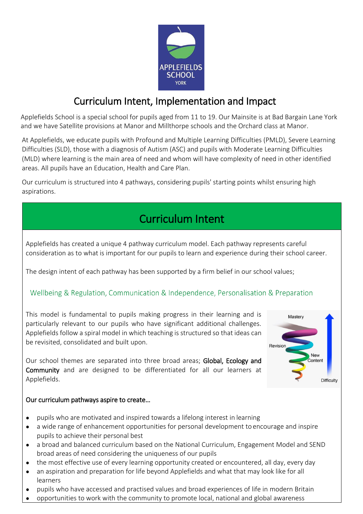

## Curriculum Intent, Implementation and Impact

Applefields School is a special school for pupils aged from 11 to 19. Our Mainsite is at Bad Bargain Lane York and we have Satellite provisions at Manor and Millthorpe schools and the Orchard class at Manor.

At Applefields, we educate pupils with Profound and Multiple Learning Difficulties (PMLD), Severe Learning Difficulties (SLD), those with a diagnosis of Autism (ASC) and pupils with Moderate Learning Difficulties (MLD) where learning is the main area of need and whom will have complexity of need in other identified areas. All pupils have an Education, Health and Care Plan.

Our curriculum is structured into 4 pathways, considering pupils' starting points whilst ensuring high aspirations.

# Curriculum Intent

Applefields has created a unique 4 pathway curriculum model. Each pathway represents careful consideration as to what is important for our pupils to learn and experience during their school career.

The design intent of each pathway has been supported by a firm belief in our school values;

### Wellbeing & Regulation, Communication & Independence, Personalisation & Preparation

This model is fundamental to pupils making progress in their learning and is particularly relevant to our pupils who have significant additional challenges. Applefields follow a spiral model in which teaching is structured so that ideas can be revisited, consolidated and built upon.

Our school themes are separated into three broad areas; Global, Ecology and Community and are designed to be differentiated for all our learners at Applefields.

#### Our curriculum pathways aspire to create…

- pupils who are motivated and inspired towards a lifelong interest in learning
- a wide range of enhancement opportunities for personal development to encourage and inspire pupils to achieve their personal best
- a broad and balanced curriculum based on the National Curriculum, Engagement Model and SEND broad areas of need considering the uniqueness of our pupils
- the most effective use of every learning opportunity created or encountered, all day, every day
- an aspiration and preparation for life beyond Applefields and what that may look like for all learners
- pupils who have accessed and practised values and broad experiences of life in modern Britain
- opportunities to work with the community to promote local, national and global awareness

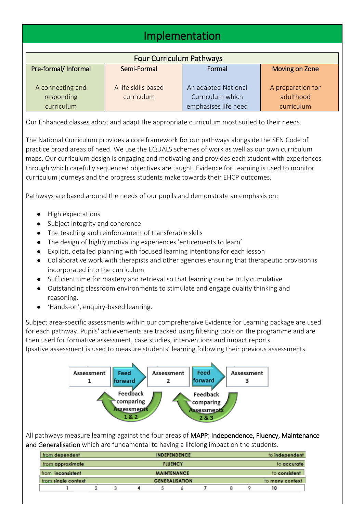## Implementation

| <b>Four Curriculum Pathways</b> |                                   |                                         |                                |  |  |  |  |  |  |
|---------------------------------|-----------------------------------|-----------------------------------------|--------------------------------|--|--|--|--|--|--|
| Pre-formal/ Informal            | Semi-Formal                       | Formal                                  | Moving on Zone                 |  |  |  |  |  |  |
| A connecting and<br>responding  | A life skills based<br>curriculum | An adapted National<br>Curriculum which | A preparation for<br>adulthood |  |  |  |  |  |  |
| curriculum                      |                                   | emphasises life need                    | curriculum                     |  |  |  |  |  |  |

Our Enhanced classes adopt and adapt the appropriate curriculum most suited to their needs.

The National Curriculum provides a core framework for our pathways alongside the SEN Code of practice broad areas of need. We use the EQUALS schemes of work as well as our own curriculum maps. Our curriculum design is engaging and motivating and provides each student with experiences through which carefully sequenced objectives are taught. Evidence for Learning is used to monitor curriculum journeys and the progress students make towards their EHCP outcomes.

Pathways are based around the needs of our pupils and demonstrate an emphasis on:

- High expectations
- Subject integrity and coherence
- The teaching and reinforcement of transferable skills
- The design of highly motivating experiences 'enticements to learn'
- Explicit, detailed planning with focused learning intentions for each lesson
- Collaborative work with therapists and other agencies ensuring that therapeutic provision is incorporated into the curriculum
- Sufficient time for mastery and retrieval so that learning can be truly cumulative
- Outstanding classroom environments to stimulate and engage quality thinking and reasoning.
- 'Hands-on', enquiry-based learning.

Subject area-specific assessments within our comprehensive Evidence for Learning package are used for each pathway. Pupils' achievements are tracked using filtering tools on the programme and are then used for formative assessment, case studies, interventions and impact reports. Ipsative assessment is used to measure students' learning following their previous assessments.



All pathways measure learning against the four areas of MAPP; Independence, Fluency, Maintenance and Generalisation which are fundamental to having a lifelong impact on the students.

| from dependent           | <b>INDEPENDENCE</b> |                       |  |  |  |  |               | to independent |                 |  |
|--------------------------|---------------------|-----------------------|--|--|--|--|---------------|----------------|-----------------|--|
| from approximate         |                     | <b>FLUENCY</b>        |  |  |  |  |               | to accurate    |                 |  |
| from <b>inconsistent</b> |                     | <b>MAINTENANCE</b>    |  |  |  |  | to consistent |                |                 |  |
| from single context      |                     | <b>GENERALISATION</b> |  |  |  |  |               |                | to many context |  |
|                          |                     |                       |  |  |  |  |               |                | 10              |  |